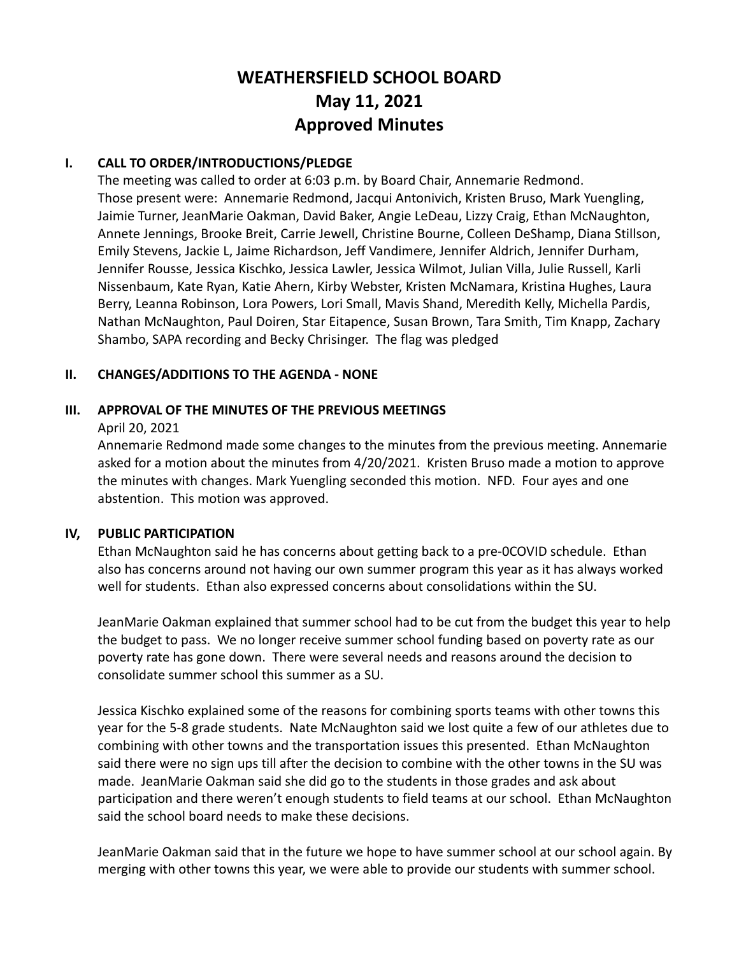# **WEATHERSFIELD SCHOOL BOARD May 11, 2021 Approved Minutes**

# **I. CALL TO ORDER/INTRODUCTIONS/PLEDGE**

The meeting was called to order at 6:03 p.m. by Board Chair, Annemarie Redmond. Those present were: Annemarie Redmond, Jacqui Antonivich, Kristen Bruso, Mark Yuengling, Jaimie Turner, JeanMarie Oakman, David Baker, Angie LeDeau, Lizzy Craig, Ethan McNaughton, Annete Jennings, Brooke Breit, Carrie Jewell, Christine Bourne, Colleen DeShamp, Diana Stillson, Emily Stevens, Jackie L, Jaime Richardson, Jeff Vandimere, Jennifer Aldrich, Jennifer Durham, Jennifer Rousse, Jessica Kischko, Jessica Lawler, Jessica Wilmot, Julian Villa, Julie Russell, Karli Nissenbaum, Kate Ryan, Katie Ahern, Kirby Webster, Kristen McNamara, Kristina Hughes, Laura Berry, Leanna Robinson, Lora Powers, Lori Small, Mavis Shand, Meredith Kelly, Michella Pardis, Nathan McNaughton, Paul Doiren, Star Eitapence, Susan Brown, Tara Smith, Tim Knapp, Zachary Shambo, SAPA recording and Becky Chrisinger. The flag was pledged

# **II. CHANGES/ADDITIONS TO THE AGENDA - NONE**

# **III. APPROVAL OF THE MINUTES OF THE PREVIOUS MEETINGS**

April 20, 2021

Annemarie Redmond made some changes to the minutes from the previous meeting. Annemarie asked for a motion about the minutes from 4/20/2021. Kristen Bruso made a motion to approve the minutes with changes. Mark Yuengling seconded this motion. NFD. Four ayes and one abstention. This motion was approved.

#### **IV, PUBLIC PARTICIPATION**

Ethan McNaughton said he has concerns about getting back to a pre-0COVID schedule. Ethan also has concerns around not having our own summer program this year as it has always worked well for students. Ethan also expressed concerns about consolidations within the SU.

JeanMarie Oakman explained that summer school had to be cut from the budget this year to help the budget to pass. We no longer receive summer school funding based on poverty rate as our poverty rate has gone down. There were several needs and reasons around the decision to consolidate summer school this summer as a SU.

Jessica Kischko explained some of the reasons for combining sports teams with other towns this year for the 5-8 grade students. Nate McNaughton said we lost quite a few of our athletes due to combining with other towns and the transportation issues this presented. Ethan McNaughton said there were no sign ups till after the decision to combine with the other towns in the SU was made. JeanMarie Oakman said she did go to the students in those grades and ask about participation and there weren't enough students to field teams at our school. Ethan McNaughton said the school board needs to make these decisions.

JeanMarie Oakman said that in the future we hope to have summer school at our school again. By merging with other towns this year, we were able to provide our students with summer school.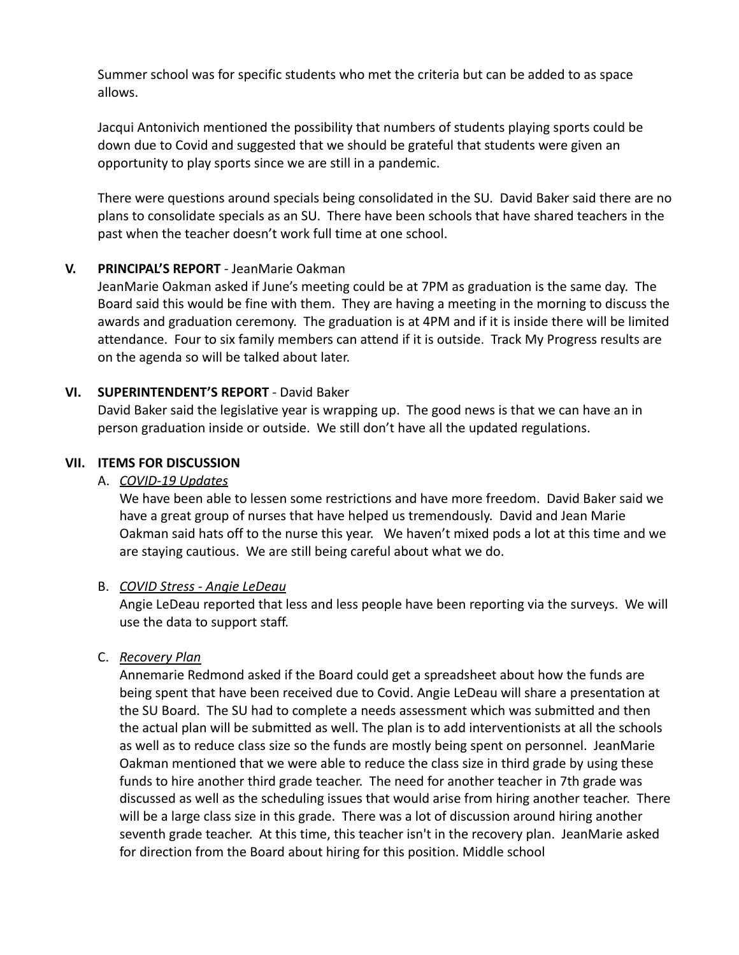Summer school was for specific students who met the criteria but can be added to as space allows.

Jacqui Antonivich mentioned the possibility that numbers of students playing sports could be down due to Covid and suggested that we should be grateful that students were given an opportunity to play sports since we are still in a pandemic.

There were questions around specials being consolidated in the SU. David Baker said there are no plans to consolidate specials as an SU. There have been schools that have shared teachers in the past when the teacher doesn't work full time at one school.

# **V. PRINCIPAL'S REPORT** - JeanMarie Oakman

JeanMarie Oakman asked if June's meeting could be at 7PM as graduation is the same day. The Board said this would be fine with them. They are having a meeting in the morning to discuss the awards and graduation ceremony. The graduation is at 4PM and if it is inside there will be limited attendance. Four to six family members can attend if it is outside. Track My Progress results are on the agenda so will be talked about later.

# **VI. SUPERINTENDENT'S REPORT** - David Baker

David Baker said the legislative year is wrapping up. The good news is that we can have an in person graduation inside or outside. We still don't have all the updated regulations.

# **VII. ITEMS FOR DISCUSSION**

### A. *COVID-19 Updates*

We have been able to lessen some restrictions and have more freedom. David Baker said we have a great group of nurses that have helped us tremendously. David and Jean Marie Oakman said hats off to the nurse this year. We haven't mixed pods a lot at this time and we are staying cautious. We are still being careful about what we do.

#### B. *COVID Stress - Angie LeDeau*

Angie LeDeau reported that less and less people have been reporting via the surveys. We will use the data to support staff.

# C. *Recovery Plan*

Annemarie Redmond asked if the Board could get a spreadsheet about how the funds are being spent that have been received due to Covid. Angie LeDeau will share a presentation at the SU Board. The SU had to complete a needs assessment which was submitted and then the actual plan will be submitted as well. The plan is to add interventionists at all the schools as well as to reduce class size so the funds are mostly being spent on personnel. JeanMarie Oakman mentioned that we were able to reduce the class size in third grade by using these funds to hire another third grade teacher. The need for another teacher in 7th grade was discussed as well as the scheduling issues that would arise from hiring another teacher. There will be a large class size in this grade. There was a lot of discussion around hiring another seventh grade teacher. At this time, this teacher isn't in the recovery plan. JeanMarie asked for direction from the Board about hiring for this position. Middle school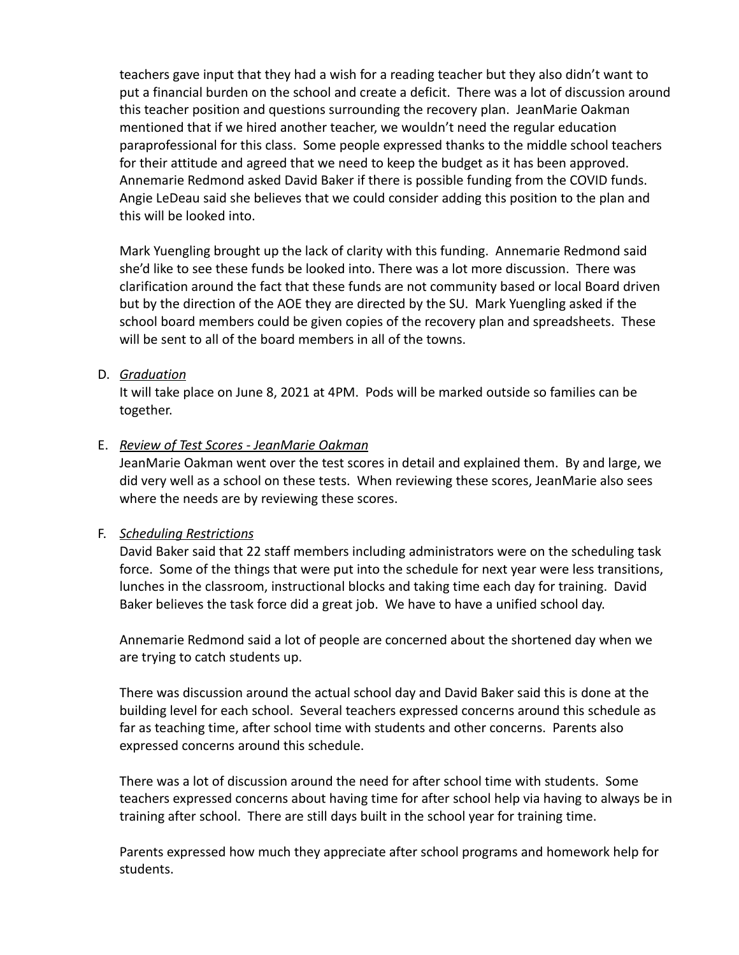teachers gave input that they had a wish for a reading teacher but they also didn't want to put a financial burden on the school and create a deficit. There was a lot of discussion around this teacher position and questions surrounding the recovery plan. JeanMarie Oakman mentioned that if we hired another teacher, we wouldn't need the regular education paraprofessional for this class. Some people expressed thanks to the middle school teachers for their attitude and agreed that we need to keep the budget as it has been approved. Annemarie Redmond asked David Baker if there is possible funding from the COVID funds. Angie LeDeau said she believes that we could consider adding this position to the plan and this will be looked into.

Mark Yuengling brought up the lack of clarity with this funding. Annemarie Redmond said she'd like to see these funds be looked into. There was a lot more discussion. There was clarification around the fact that these funds are not community based or local Board driven but by the direction of the AOE they are directed by the SU. Mark Yuengling asked if the school board members could be given copies of the recovery plan and spreadsheets. These will be sent to all of the board members in all of the towns.

#### D. *Graduation*

It will take place on June 8, 2021 at 4PM. Pods will be marked outside so families can be together.

#### E. *Review of Test Scores - JeanMarie Oakman*

JeanMarie Oakman went over the test scores in detail and explained them. By and large, we did very well as a school on these tests. When reviewing these scores, JeanMarie also sees where the needs are by reviewing these scores.

#### F. *Scheduling Restrictions*

David Baker said that 22 staff members including administrators were on the scheduling task force. Some of the things that were put into the schedule for next year were less transitions, lunches in the classroom, instructional blocks and taking time each day for training. David Baker believes the task force did a great job. We have to have a unified school day.

Annemarie Redmond said a lot of people are concerned about the shortened day when we are trying to catch students up.

There was discussion around the actual school day and David Baker said this is done at the building level for each school. Several teachers expressed concerns around this schedule as far as teaching time, after school time with students and other concerns. Parents also expressed concerns around this schedule.

There was a lot of discussion around the need for after school time with students. Some teachers expressed concerns about having time for after school help via having to always be in training after school. There are still days built in the school year for training time.

Parents expressed how much they appreciate after school programs and homework help for students.